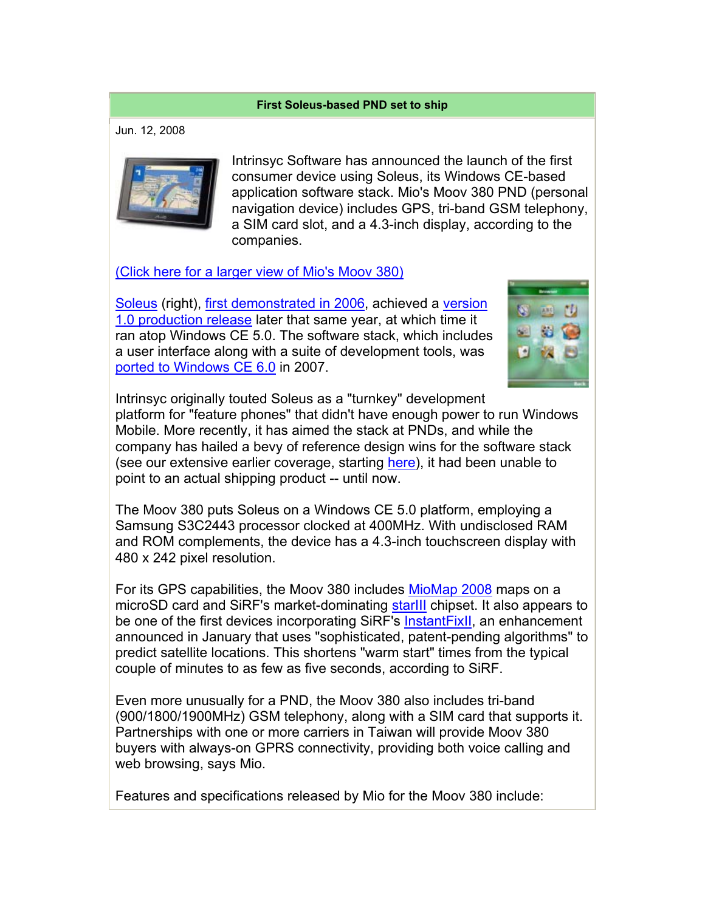## **First Soleus-based PND set to ship**

Jun. 12, 2008



Intrinsyc Software has announced the launch of the first consumer device using Soleus, its Windows CE-based application software stack. Mio's Moov 380 PND (personal navigation device) includes GPS, tri-band GSM telephony, a SIM card slot, and a 4.3-inch display, according to the companies.

(Click here for a larger view of Mio's Moov 380)

Soleus (right), first demonstrated in 2006, achieved a version 1.0 production release later that same year, at which time it ran atop Windows CE 5.0. The software stack, which includes a user interface along with a suite of development tools, was ported to Windows CE 6.0 in 2007.



Intrinsyc originally touted Soleus as a "turnkey" development platform for "feature phones" that didn't have enough power to run Windows Mobile. More recently, it has aimed the stack at PNDs, and while the company has hailed a bevy of reference design wins for the software stack (see our extensive earlier coverage, starting here), it had been unable to point to an actual shipping product -- until now.

The Moov 380 puts Soleus on a Windows CE 5.0 platform, employing a Samsung S3C2443 processor clocked at 400MHz. With undisclosed RAM and ROM complements, the device has a 4.3-inch touchscreen display with 480 x 242 pixel resolution.

For its GPS capabilities, the Moov 380 includes MioMap 2008 maps on a microSD card and SiRF's market-dominating starlll chipset. It also appears to be one of the first devices incorporating SiRF's InstantFixII, an enhancement announced in January that uses "sophisticated, patent-pending algorithms" to predict satellite locations. This shortens "warm start" times from the typical couple of minutes to as few as five seconds, according to SiRF.

Even more unusually for a PND, the Moov 380 also includes tri-band (900/1800/1900MHz) GSM telephony, along with a SIM card that supports it. Partnerships with one or more carriers in Taiwan will provide Moov 380 buyers with always-on GPRS connectivity, providing both voice calling and web browsing, says Mio.

Features and specifications released by Mio for the Moov 380 include: